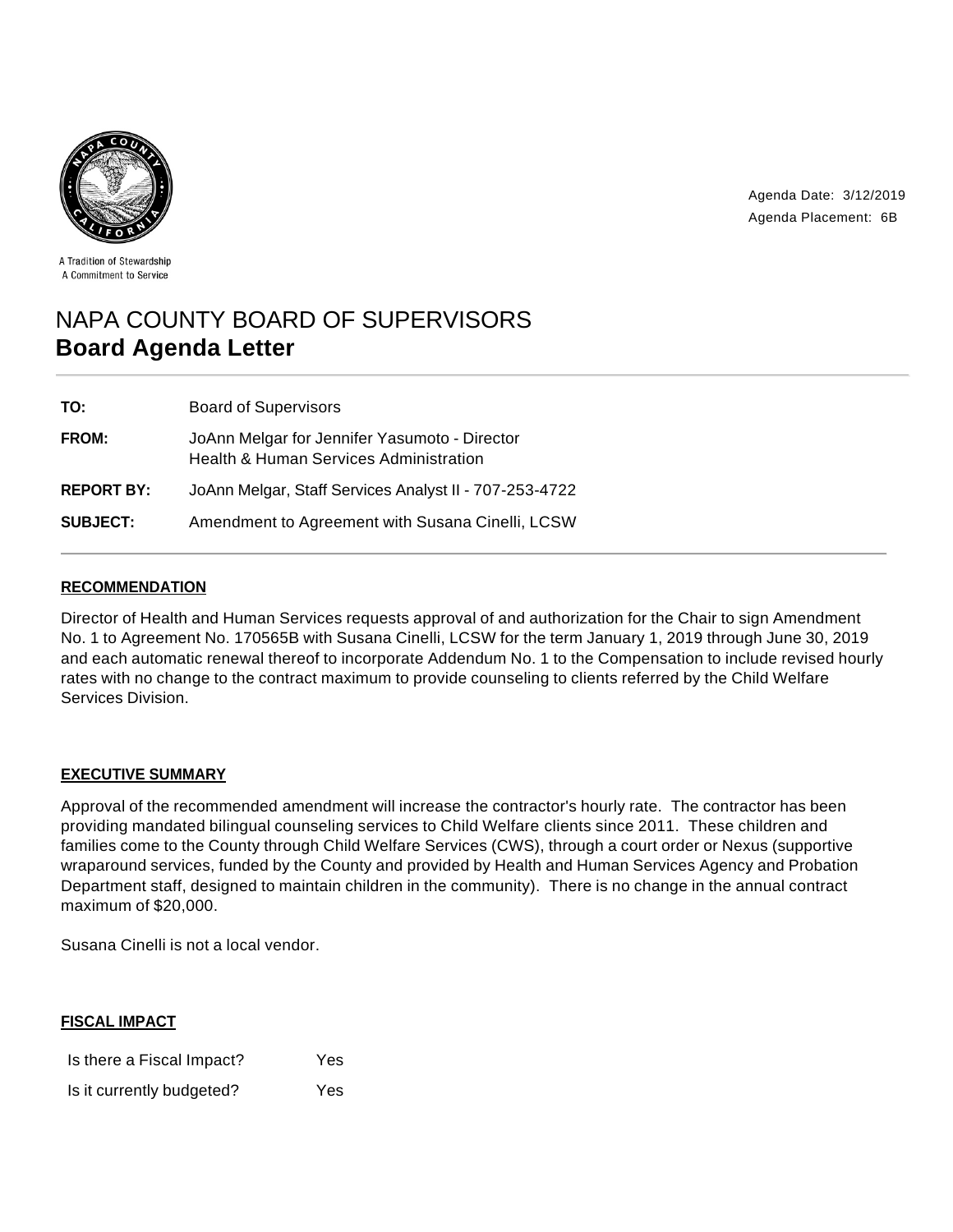

Agenda Date: 3/12/2019 Agenda Placement: 6B

A Tradition of Stewardship A Commitment to Service

# NAPA COUNTY BOARD OF SUPERVISORS **Board Agenda Letter**

| TO:               | <b>Board of Supervisors</b>                                                             |
|-------------------|-----------------------------------------------------------------------------------------|
| <b>FROM:</b>      | JoAnn Melgar for Jennifer Yasumoto - Director<br>Health & Human Services Administration |
| <b>REPORT BY:</b> | JoAnn Melgar, Staff Services Analyst II - 707-253-4722                                  |
| <b>SUBJECT:</b>   | Amendment to Agreement with Susana Cinelli, LCSW                                        |

## **RECOMMENDATION**

Director of Health and Human Services requests approval of and authorization for the Chair to sign Amendment No. 1 to Agreement No. 170565B with Susana Cinelli, LCSW for the term January 1, 2019 through June 30, 2019 and each automatic renewal thereof to incorporate Addendum No. 1 to the Compensation to include revised hourly rates with no change to the contract maximum to provide counseling to clients referred by the Child Welfare Services Division.

## **EXECUTIVE SUMMARY**

Approval of the recommended amendment will increase the contractor's hourly rate. The contractor has been providing mandated bilingual counseling services to Child Welfare clients since 2011. These children and families come to the County through Child Welfare Services (CWS), through a court order or Nexus (supportive wraparound services, funded by the County and provided by Health and Human Services Agency and Probation Department staff, designed to maintain children in the community). There is no change in the annual contract maximum of \$20,000.

Susana Cinelli is not a local vendor.

| <b>FISCAL IMPACT</b>      |     |  |  |
|---------------------------|-----|--|--|
| Is there a Fiscal Impact? | Yes |  |  |
| Is it currently budgeted? | Yes |  |  |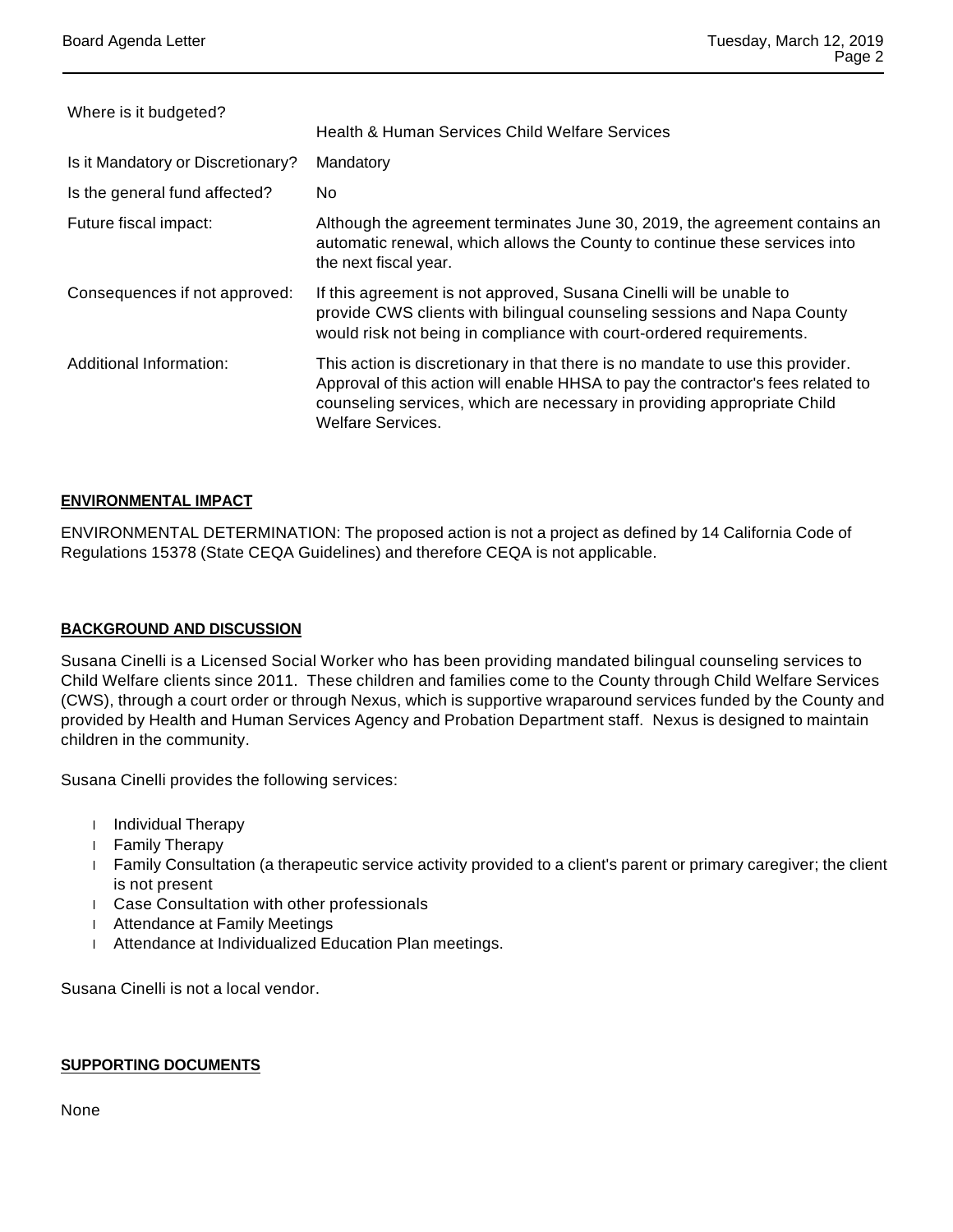| Where is it budgeted?             |                                                                                                                                                                                                                                                                           |
|-----------------------------------|---------------------------------------------------------------------------------------------------------------------------------------------------------------------------------------------------------------------------------------------------------------------------|
|                                   | Health & Human Services Child Welfare Services                                                                                                                                                                                                                            |
| Is it Mandatory or Discretionary? | Mandatory                                                                                                                                                                                                                                                                 |
| Is the general fund affected?     | No.                                                                                                                                                                                                                                                                       |
| Future fiscal impact:             | Although the agreement terminates June 30, 2019, the agreement contains an<br>automatic renewal, which allows the County to continue these services into<br>the next fiscal year.                                                                                         |
| Consequences if not approved:     | If this agreement is not approved, Susana Cinelli will be unable to<br>provide CWS clients with bilingual counseling sessions and Napa County<br>would risk not being in compliance with court-ordered requirements.                                                      |
| Additional Information:           | This action is discretionary in that there is no mandate to use this provider.<br>Approval of this action will enable HHSA to pay the contractor's fees related to<br>counseling services, which are necessary in providing appropriate Child<br><b>Welfare Services.</b> |

## **ENVIRONMENTAL IMPACT**

ENVIRONMENTAL DETERMINATION: The proposed action is not a project as defined by 14 California Code of Regulations 15378 (State CEQA Guidelines) and therefore CEQA is not applicable.

#### **BACKGROUND AND DISCUSSION**

Susana Cinelli is a Licensed Social Worker who has been providing mandated bilingual counseling services to Child Welfare clients since 2011. These children and families come to the County through Child Welfare Services (CWS), through a court order or through Nexus, which is supportive wraparound services funded by the County and provided by Health and Human Services Agency and Probation Department staff. Nexus is designed to maintain children in the community.

Susana Cinelli provides the following services:

- Individual Therapy
- Family Therapy
- Family Consultation (a therapeutic service activity provided to a client's parent or primary caregiver; the client is not present
- Case Consultation with other professionals
- Attendance at Family Meetings
- Attendance at Individualized Education Plan meetings.

Susana Cinelli is not a local vendor.

#### **SUPPORTING DOCUMENTS**

None